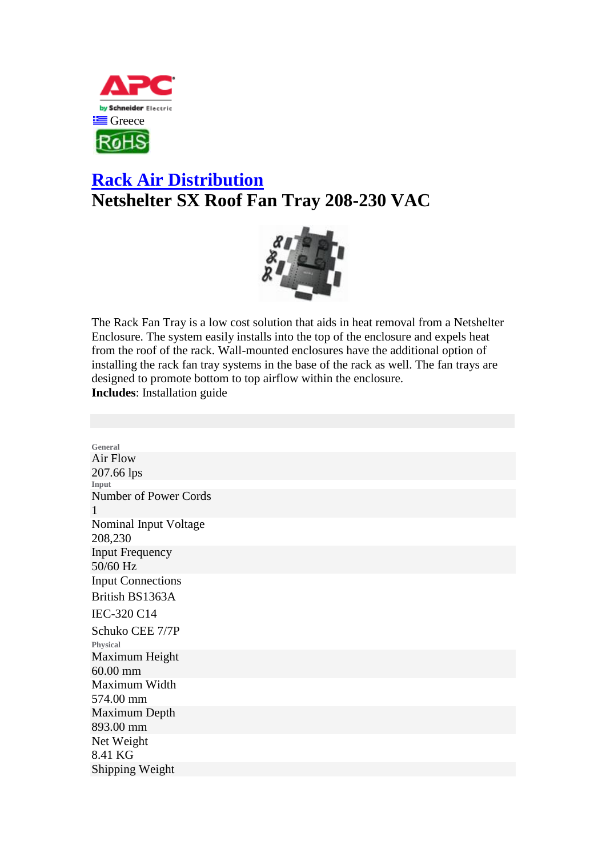

## **[Rack Air Distribution](http://www.apc.com/products/family/index.cfm?id=107) Netshelter SX Roof Fan Tray 208-230 VAC**



The Rack Fan Tray is a low cost solution that aids in heat removal from a Netshelter Enclosure. The system easily installs into the top of the enclosure and expels heat from the roof of the rack. Wall-mounted enclosures have the additional option of installing the rack fan tray systems in the base of the rack as well. The fan trays are designed to promote bottom to top airflow within the enclosure. **Includes**: Installation guide

**General** Air Flow 207.66 lps **Input** Number of Power Cords 1 Nominal Input Voltage 208,230 Input Frequency 50/60 Hz Input Connections British BS1363A IEC-320 C14 Schuko CEE 7/7P **Physical** Maximum Height 60.00 mm Maximum Width 574.00 mm Maximum Depth 893.00 mm Net Weight 8.41 KG Shipping Weight